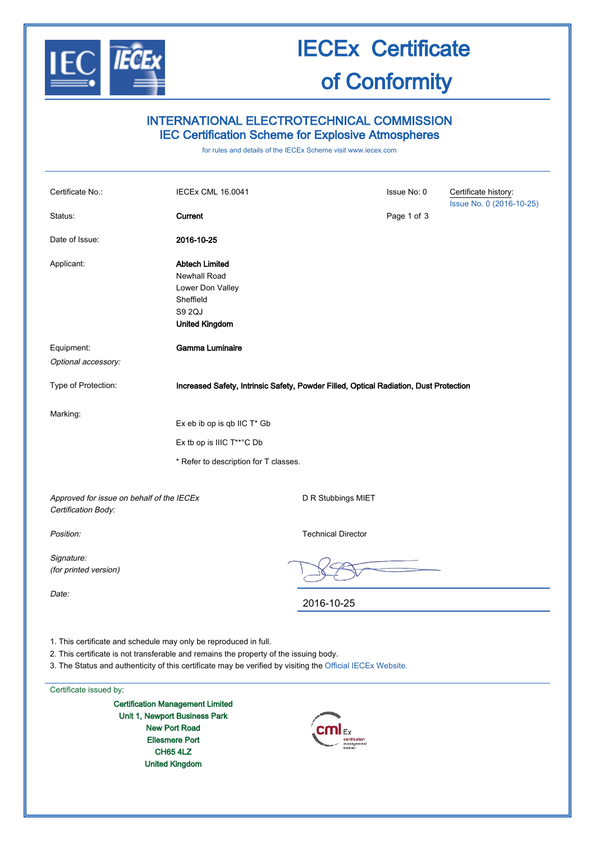

## IECEx Certificate of Conformity

## INTERNATIONAL ELECTROTECHNICAL COMMISSION IEC Certification Scheme for Explosive Atmospheres

for rules and details of the IECEx Scheme visit [www.iecex.com](http://www.iecex.com/)

| Certificate No.:                                                                                                                                                                                                                                                        | IECEx CML 16.0041                                                                                         |                           | Issue No: 0 | Certificate history:<br>Issue No. 0 (2016-10-25) |  |  |  |
|-------------------------------------------------------------------------------------------------------------------------------------------------------------------------------------------------------------------------------------------------------------------------|-----------------------------------------------------------------------------------------------------------|---------------------------|-------------|--------------------------------------------------|--|--|--|
| Status:                                                                                                                                                                                                                                                                 | Current                                                                                                   |                           | Page 1 of 3 |                                                  |  |  |  |
| Date of Issue:                                                                                                                                                                                                                                                          | 2016-10-25                                                                                                |                           |             |                                                  |  |  |  |
| Applicant:                                                                                                                                                                                                                                                              | <b>Abtech Limited</b><br>Newhall Road<br>Lower Don Valley<br>Sheffield<br>S9 2QJ<br><b>United Kingdom</b> |                           |             |                                                  |  |  |  |
| Equipment:                                                                                                                                                                                                                                                              | Gamma Luminaire                                                                                           |                           |             |                                                  |  |  |  |
| Optional accessory:                                                                                                                                                                                                                                                     |                                                                                                           |                           |             |                                                  |  |  |  |
| Type of Protection:                                                                                                                                                                                                                                                     | Increased Safety, Intrinsic Safety, Powder Filled, Optical Radiation, Dust Protection                     |                           |             |                                                  |  |  |  |
| Marking:                                                                                                                                                                                                                                                                | Ex eb ib op is qb IIC T* Gb<br>Ex tb op is IIIC T**°C Db<br>* Refer to description for T classes.         |                           |             |                                                  |  |  |  |
| Approved for issue on behalf of the IECEx<br>Certification Body:                                                                                                                                                                                                        |                                                                                                           | D R Stubbings MIET        |             |                                                  |  |  |  |
| Position:                                                                                                                                                                                                                                                               |                                                                                                           | <b>Technical Director</b> |             |                                                  |  |  |  |
| Signature:<br>(for printed version)                                                                                                                                                                                                                                     |                                                                                                           |                           |             |                                                  |  |  |  |
| Date:                                                                                                                                                                                                                                                                   |                                                                                                           | 2016-10-25                |             |                                                  |  |  |  |
| 1. This certificate and schedule may only be reproduced in full.<br>2. This certificate is not transferable and remains the property of the issuing body.<br>3. The Status and authenticity of this certificate may be verified by visiting the Official IECEx Website. |                                                                                                           |                           |             |                                                  |  |  |  |

Certificate issued by:

Certification Management Limited Unit 1, Newport Business Park New Port Road Ellesmere Port CH65 4LZ United Kingdom

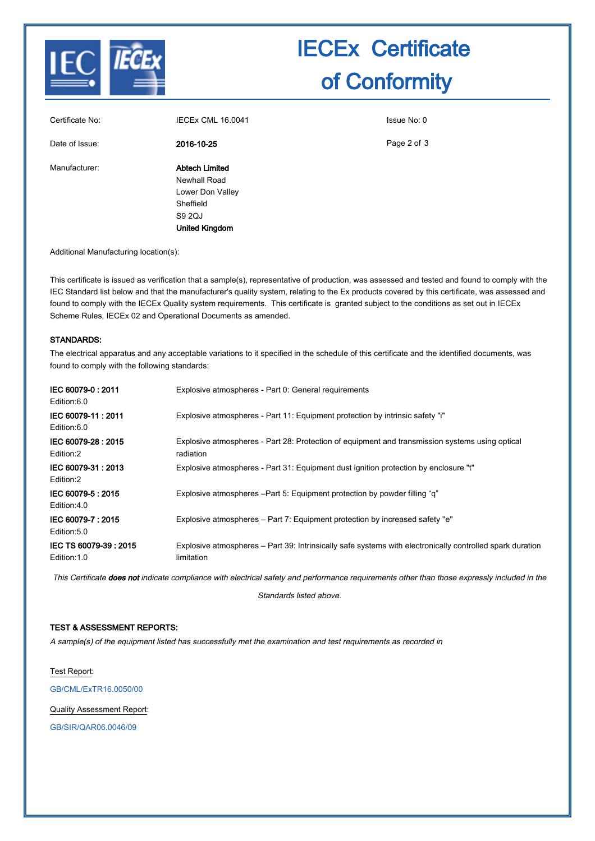

# IECEx Certificate of Conformity

| Certificate No: | <b>IECEX CML 16.0041</b>                                                                                  | Issue No: 0 |
|-----------------|-----------------------------------------------------------------------------------------------------------|-------------|
| Date of Issue:  | 2016-10-25                                                                                                | Page 2 of 3 |
| Manufacturer:   | <b>Abtech Limited</b><br>Newhall Road<br>Lower Don Valley<br>Sheffield<br>S9 2QJ<br><b>United Kingdom</b> |             |

Additional Manufacturing location(s):

This certificate is issued as verification that a sample(s), representative of production, was assessed and tested and found to comply with the IEC Standard list below and that the manufacturer's quality system, relating to the Ex products covered by this certificate, was assessed and found to comply with the IECEx Quality system requirements. This certificate is granted subject to the conditions as set out in IECEx Scheme Rules, IECEx 02 and Operational Documents as amended.

#### STANDARDS:

The electrical apparatus and any acceptable variations to it specified in the schedule of this certificate and the identified documents, was found to comply with the following standards:

| IEC 60079-0:2011<br>Edition:6.0       | Explosive atmospheres - Part 0: General requirements                                                                    |
|---------------------------------------|-------------------------------------------------------------------------------------------------------------------------|
| IEC 60079-11:2011<br>Edition:6.0      | Explosive atmospheres - Part 11: Equipment protection by intrinsic safety "i"                                           |
| IEC 60079-28: 2015<br>Edition:2       | Explosive atmospheres - Part 28: Protection of equipment and transmission systems using optical<br>radiation            |
| IEC 60079-31: 2013<br>Edition:2       | Explosive atmospheres - Part 31: Equipment dust ignition protection by enclosure "t"                                    |
| IEC 60079-5 : 2015<br>Edition:4.0     | Explosive atmospheres – Part 5: Equipment protection by powder filling "q"                                              |
| IEC 60079-7:2015<br>Edition:5.0       | Explosive atmospheres – Part 7: Equipment protection by increased safety "e"                                            |
| IEC TS 60079-39: 2015<br>Edition: 1.0 | Explosive atmospheres – Part 39: Intrinsically safe systems with electronically controlled spark duration<br>limitation |

This Certificate does not indicate compliance with electrical safety and performance requirements other than those expressly included in the

Standards listed above.

#### TEST & ASSESSMENT REPORTS:

A sample(s) of the equipment listed has successfully met the examination and test requirements as recorded in

Test Report:

[GB/CML/ExTR16.0050/00](http://iecex.iec.ch/iecex/IECExWeb.nsf/ExTRNumber/GB/CML/ExTR16.0050/00?OpenDocument)

Quality Assessment Report:

[GB/SIR/QAR06.0046/09](http://iecex.iec.ch/iecex/IECExWeb.nsf/QARNumber/GB/SIR/QAR06.0046/09?OpenDocument)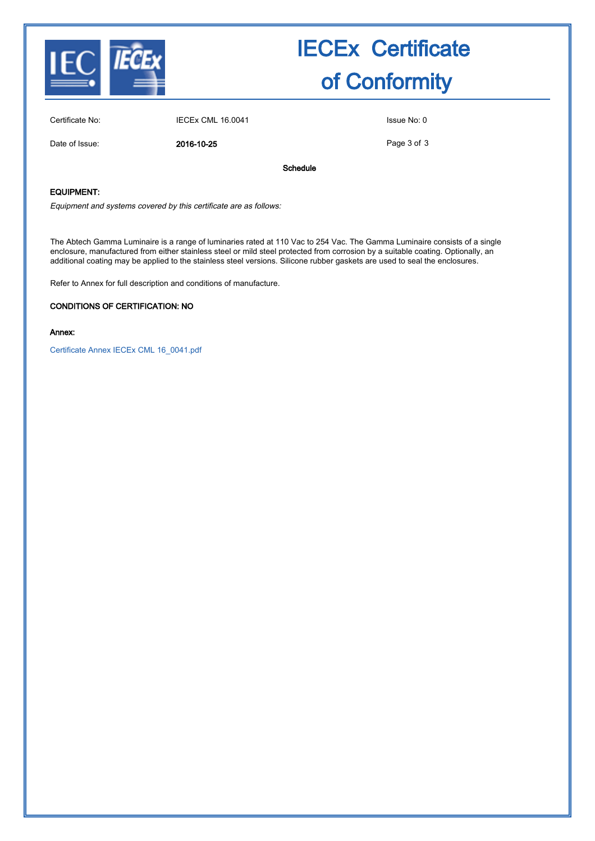

# IECEx Certificate of Conformity

Certificate No: IECEx CML 16.0041 ISSUE No: 0

Date of Issue: 2016-10-25

Page 3 of 3

Schedule

### EQUIPMENT:

Equipment and systems covered by this certificate are as follows:

The Abtech Gamma Luminaire is a range of luminaries rated at 110 Vac to 254 Vac. The Gamma Luminaire consists of a single enclosure, manufactured from either stainless steel or mild steel protected from corrosion by a suitable coating. Optionally, an additional coating may be applied to the stainless steel versions. Silicone rubber gaskets are used to seal the enclosures.

Refer to Annex for full description and conditions of manufacture.

#### CONDITIONS OF CERTIFICATION: NO

#### Annex:

[Certificate Annex IECEx CML 16\\_0041.pdf](http://iecex.iec.ch/iecex/IECExWeb.nsf/0/7060022E958CA458C1257FA7002BD22A/$File/Certificate Annex IECEx CML 16_0041.pdf)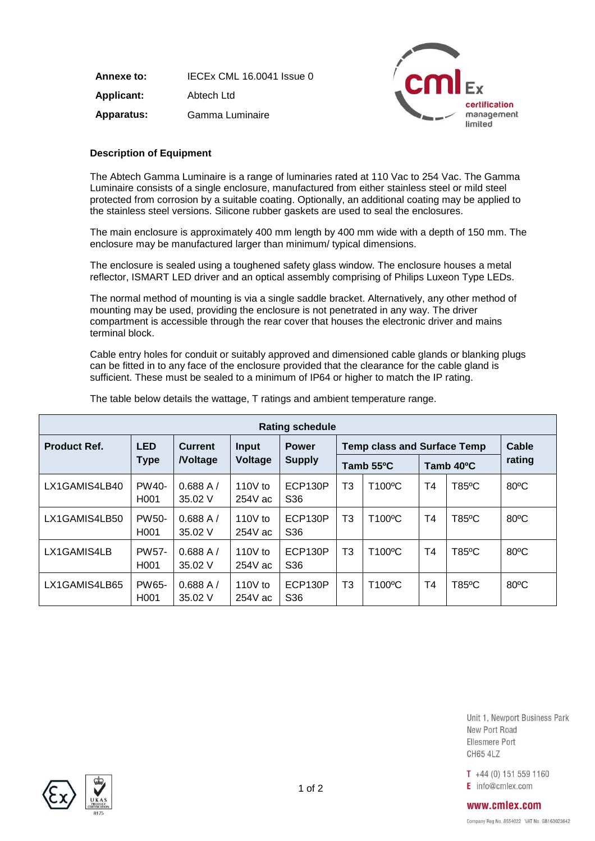**Annexe to:** IECEx CML 16.0041 Issue 0 **Applicant:** Abtech Ltd **Apparatus:** Gamma Luminaire



### **Description of Equipment**

The Abtech Gamma Luminaire is a range of luminaries rated at 110 Vac to 254 Vac. The Gamma Luminaire consists of a single enclosure, manufactured from either stainless steel or mild steel protected from corrosion by a suitable coating. Optionally, an additional coating may be applied to the stainless steel versions. Silicone rubber gaskets are used to seal the enclosures.

The main enclosure is approximately 400 mm length by 400 mm wide with a depth of 150 mm. The enclosure may be manufactured larger than minimum/ typical dimensions.

The enclosure is sealed using a toughened safety glass window. The enclosure houses a metal reflector, ISMART LED driver and an optical assembly comprising of Philips Luxeon Type LEDs.

The normal method of mounting is via a single saddle bracket. Alternatively, any other method of mounting may be used, providing the enclosure is not penetrated in any way. The driver compartment is accessible through the rear cover that houses the electronic driver and mains terminal block.

Cable entry holes for conduit or suitably approved and dimensioned cable glands or blanking plugs can be fitted in to any face of the enclosure provided that the clearance for the cable gland is sufficient. These must be sealed to a minimum of IP64 or higher to match the IP rating.

| <b>Rating schedule</b> |                                        |                    |                         |                                    |                |        |                |          |                |
|------------------------|----------------------------------------|--------------------|-------------------------|------------------------------------|----------------|--------|----------------|----------|----------------|
| <b>Product Ref.</b>    | <b>LED</b><br><b>Current</b>           | <b>Input</b>       | <b>Power</b>            | <b>Temp class and Surface Temp</b> |                |        | Cable          |          |                |
|                        | <b>Type</b>                            | <b>Noltage</b>     | Voltage                 | <b>Supply</b>                      | Tamb 55°C      |        | Tamb 40°C      |          | rating         |
| LX1GAMIS4LB40          | PW40-<br>H <sub>001</sub>              | 0.688A/<br>35.02 V | 110 $V$ to<br>$254V$ ac | ECP130P<br>S <sub>36</sub>         | T <sub>3</sub> | T100°C | T <sub>4</sub> | $T85$ °C | $80^{\circ}$ C |
| LX1GAMIS4LB50          | PW <sub>50</sub> -<br>H <sub>001</sub> | 0.688A/<br>35.02 V | 110 $V$ to<br>$254V$ ac | ECP130P<br>S <sub>36</sub>         | T <sub>3</sub> | T100°C | T <sub>4</sub> | $T85$ °C | $80^{\circ}$ C |
| LX1GAMIS4LB            | <b>PW57-</b><br>H <sub>001</sub>       | 0.688A/<br>35.02 V | 110 $V$ to<br>$254V$ ac | ECP130P<br>S <sub>36</sub>         | T3             | T100°C | T <sub>4</sub> | T85°C    | $80^{\circ}$ C |
| LX1GAMIS4LB65          | PW65-<br>H <sub>001</sub>              | 0.688A/<br>35.02 V | 110 $V$ to<br>254V ac   | ECP130P<br>S <sub>36</sub>         | T <sub>3</sub> | T100°C | T <sub>4</sub> | T85°C    | $80^{\circ}$ C |

The table below details the wattage, T ratings and ambient temperature range.

Unit 1, Newport Business Park New Port Road Ellesmere Port **CH65 4LZ** 

 $T +44(0) 151 559 1160$ E info@cmlex.com